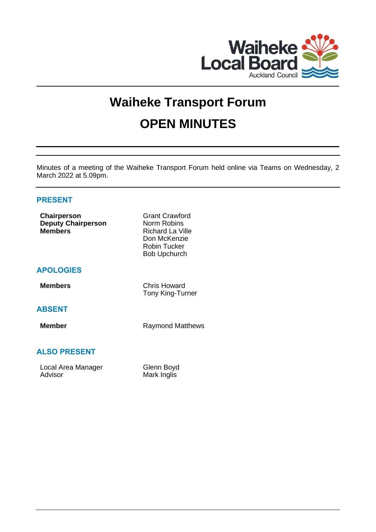

# **Waiheke Transport Forum OPEN MINUTES**

Minutes of a meeting of the Waiheke Transport Forum held online via Teams on Wednesday, 2 March 2022 at 5.09pm.

# **PRESENT**

| <b>Chairperson</b><br><b>Deputy Chairperson</b><br><b>Members</b> | <b>Grant Crawford</b><br>Norm Robins<br><b>Richard La Ville</b><br>Don McKenzie<br><b>Robin Tucker</b><br><b>Bob Upchurch</b> |
|-------------------------------------------------------------------|-------------------------------------------------------------------------------------------------------------------------------|
| <b>APOLOGIES</b>                                                  |                                                                                                                               |
| <b>Members</b>                                                    | <b>Chris Howard</b><br>Tony King-Turner                                                                                       |
| <b>ABSENT</b>                                                     |                                                                                                                               |
| <b>Member</b>                                                     | <b>Raymond Matthews</b>                                                                                                       |
| <b>ALSO PRESENT</b>                                               |                                                                                                                               |
| Local Area Manager<br>Advisor                                     | Glenn Boyd<br>Mark Inglis                                                                                                     |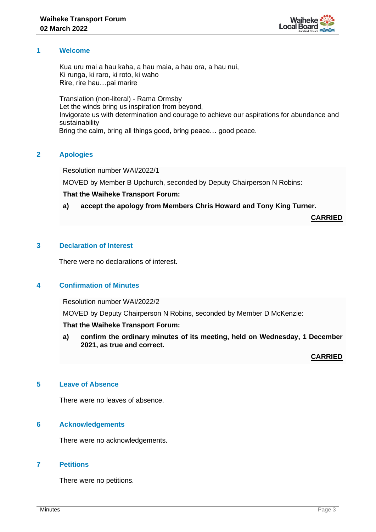

### **1 Welcome**

Kua uru mai a hau kaha, a hau maia, a hau ora, a hau nui, Ki runga, ki raro, ki roto, ki waho Rire, rire hau…pai marire

Translation (non-literal) - Rama Ormsby Let the winds bring us inspiration from beyond, Invigorate us with determination and courage to achieve our aspirations for abundance and sustainability Bring the calm, bring all things good, bring peace… good peace.

# **2 Apologies**

Resolution number WAI/2022/1

MOVED by Member B Upchurch, seconded by Deputy Chairperson N Robins:

# **That the Waiheke Transport Forum:**

# **a) accept the apology from Members Chris Howard and Tony King Turner.**

**CARRIED**

# **3 Declaration of Interest**

There were no declarations of interest.

# **4 Confirmation of Minutes**

Resolution number WAI/2022/2

MOVED by Deputy Chairperson N Robins, seconded by Member D McKenzie:

# **That the Waiheke Transport Forum:**

**a) confirm the ordinary minutes of its meeting, held on Wednesday, 1 December 2021, as true and correct.**

**CARRIED**

# **5 Leave of Absence**

There were no leaves of absence.

# **6 Acknowledgements**

There were no acknowledgements.

# **7 Petitions**

There were no petitions.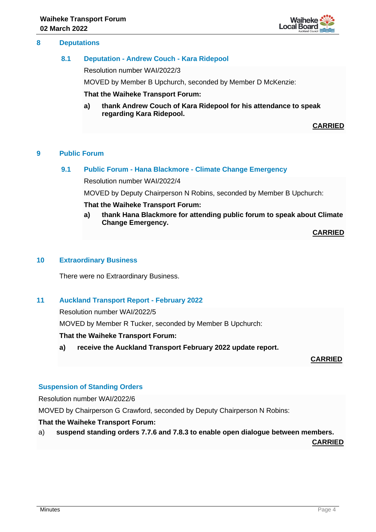### **8 Deputations**

### **8.1 Deputation - Andrew Couch - Kara Ridepool**

Resolution number WAI/2022/3

MOVED by Member B Upchurch, seconded by Member D McKenzie:

**That the Waiheke Transport Forum:**

**a) thank Andrew Couch of Kara Ridepool for his attendance to speak regarding Kara Ridepool.**

**CARRIED**

# **9 Public Forum**

#### **9.1 Public Forum - Hana Blackmore - Climate Change Emergency**

Resolution number WAI/2022/4

MOVED by Deputy Chairperson N Robins, seconded by Member B Upchurch:

#### **That the Waiheke Transport Forum:**

**a) thank Hana Blackmore for attending public forum to speak about Climate Change Emergency.**

**CARRIED**

#### **10 Extraordinary Business**

There were no Extraordinary Business.

# **11 Auckland Transport Report - February 2022**

Resolution number WAI/2022/5

MOVED by Member R Tucker, seconded by Member B Upchurch:

#### **That the Waiheke Transport Forum:**

**a) receive the Auckland Transport February 2022 update report.**

**CARRIED**

#### **Suspension of Standing Orders**

Resolution number WAI/2022/6

MOVED by Chairperson G Crawford, seconded by Deputy Chairperson N Robins:

#### **That the Waiheke Transport Forum:**

a) **suspend standing orders 7.7.6 and 7.8.3 to enable open dialogue between members.**

**CARRIED**